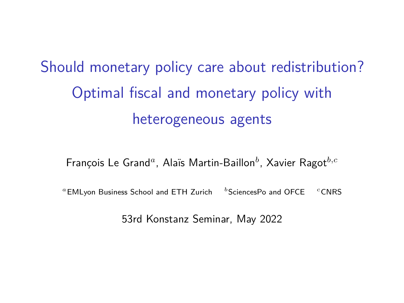<span id="page-0-1"></span><span id="page-0-0"></span>Should monetary policy care about redistribution? Optimal fiscal and monetary policy with heterogeneous agents

François Le Grand*<sup>a</sup>* , Alaïs Martin-Baillon*<sup>b</sup>* , Xavier Ragot*b,c*

*<sup>a</sup>*EMLyon Business School and ETH Zurich *<sup>b</sup>*SciencesPo and OFCE *<sup>c</sup>*CNRS

53rd Konstanz Seminar, May 2022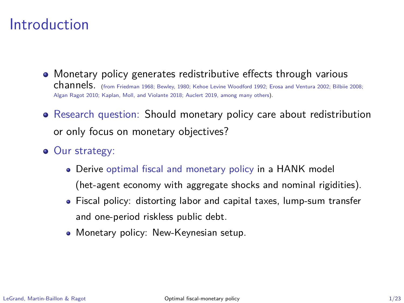## Introduction

- Monetary policy generates redistributive effects through various channels. (from Friedman 1968; Bewley, 1980; Kehoe Levine Woodford 1992; Erosa and Ventura 2002; Bilbiie 2008; Algan Ragot 2010; Kaplan, Moll, and Violante 2018; Auclert 2019, among many others).
- Research question: Should monetary policy care about redistribution or only focus on monetary objectives?
- Our strategy:
	- Derive optimal fiscal and monetary policy in a HANK model (het-agent economy with aggregate shocks and nominal rigidities).
	- Fiscal policy: distorting labor and capital taxes, lump-sum transfer and one-period riskless public debt.
	- **Monetary policy: New-Keynesian setup.**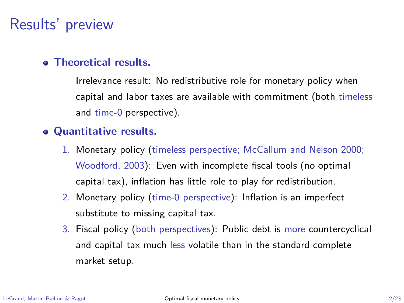# Results' preview

### **Theoretical results.**

Irrelevance result: No redistributive role for monetary policy when capital and labor taxes are available with commitment (both timeless and time-0 perspective).

#### **Quantitative results.**

- 1. Monetary policy (timeless perspective; McCallum and Nelson 2000; Woodford, 2003): Even with incomplete fiscal tools (no optimal capital tax), inflation has little role to play for redistribution.
- 2. Monetary policy (time-0 perspective): Inflation is an imperfect substitute to missing capital tax.
- 3. Fiscal policy (both perspectives): Public debt is more countercyclical and capital tax much less volatile than in the standard complete market setup.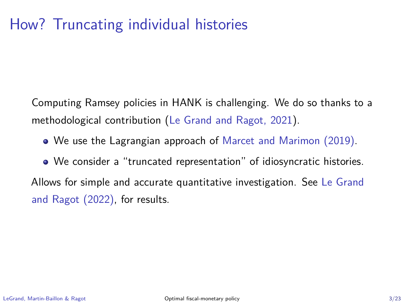# How? Truncating individual histories

Computing Ramsey policies in HANK is challenging. We do so thanks to a methodological contribution (Le Grand and Ragot, 2021).

We use the Lagrangian approach of Marcet and Marimon (2019).

We consider a "truncated representation" of idiosyncratic histories. Allows for simple and accurate quantitative investigation. See Le Grand and Ragot (2022), for results.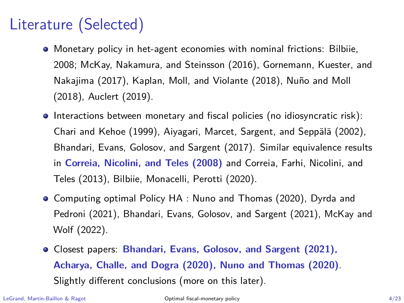# Literature (Selected)

- Monetary policy in het-agent economies with nominal frictions: Bilbiie, 2008; McKay, Nakamura, and Steinsson (2016), Gornemann, Kuester, and Nakajima (2017), Kaplan, Moll, and Violante (2018), Nuño and Moll (2018), Auclert (2019).
- Interactions between monetary and fiscal policies (no idiosyncratic risk): Chari and Kehoe (1999), Aiyagari, Marcet, Sargent, and Seppälä (2002), Bhandari, Evans, Golosov, and Sargent (2017). Similar equivalence results in **Correia, Nicolini, and Teles (2008)** and Correia, Farhi, Nicolini, and Teles (2013), Bilbiie, Monacelli, Perotti (2020).
- Computing optimal Policy HA : Nuno and Thomas (2020), Dyrda and Pedroni (2021), Bhandari, Evans, Golosov, and Sargent (2021), McKay and Wolf (2022).
- Closest papers: **Bhandari, Evans, Golosov, and Sargent (2021), Acharya, Challe, and Dogra (2020), Nuno and Thomas (2020)**. Slightly different conclusions (more on this later).

LeGrand, Martin-Baillon & Ragot [Optimal fiscal-monetary policy](#page-0-0) 4/23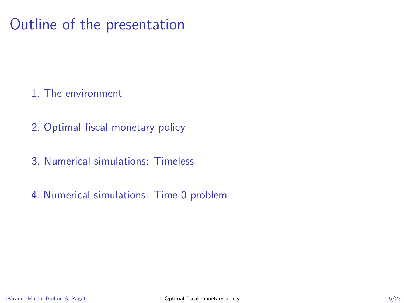# Outline of the presentation

- 1. [The environment](#page-6-0)
- 2. [Optimal fiscal-monetary policy](#page-10-0)
- 3. [Numerical simulations: Timeless](#page-14-0)
- 4. [Numerical simulations: Time-0 problem](#page-21-0)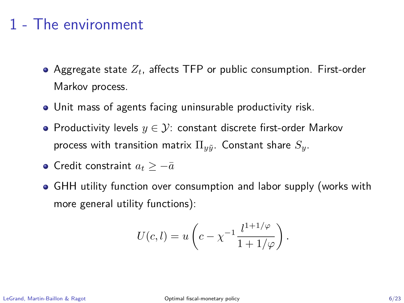# <span id="page-6-0"></span>1 - The environment

- Aggregate state *Zt*, affects TFP or public consumption. First-order Markov process.
- Unit mass of agents facing uninsurable productivity risk.
- Productivity levels *y* ∈ Y: constant discrete first-order Markov process with transition matrix  $\Pi_{\tilde{u}}$ . Constant share  $S_{\tilde{u}}$ .
- **•** Credit constraint  $a_t$  > −*a*
- GHH utility function over consumption and labor supply (works with more general utility functions):

$$
U(c, l) = u\left(c - \chi^{-1} \frac{l^{1+1/\varphi}}{1+1/\varphi}\right).
$$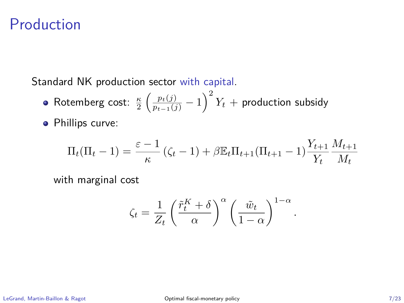### Production

Standard NK production sector with capital.

- $\textsf{Rotemberg cost: } \frac{\kappa}{2} \left( \frac{p_t(j)}{p_{t-1}(j)} 1 \right)^2 Y_t + \textsf{production subsidy}$
- **•** Phillips curve:

$$
\Pi_t(\Pi_t - 1) = \frac{\varepsilon - 1}{\kappa} (\zeta_t - 1) + \beta \mathbb{E}_t \Pi_{t+1} (\Pi_{t+1} - 1) \frac{Y_{t+1}}{Y_t} \frac{M_{t+1}}{M_t}
$$

with marginal cost

$$
\zeta_t = \frac{1}{Z_t} \left( \frac{\tilde{r}_t^K + \delta}{\alpha} \right)^{\alpha} \left( \frac{\tilde{w}_t}{1 - \alpha} \right)^{1 - \alpha}
$$

*.*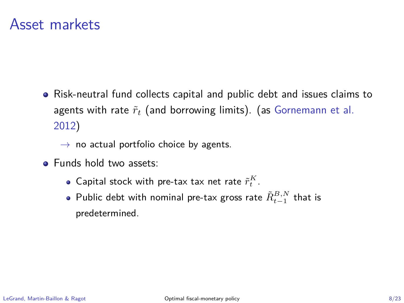### Asset markets

Risk-neutral fund collects capital and public debt and issues claims to agents with rate  $\tilde{r}_t$  (and borrowing limits). (as Gornemann et al. 2012)

 $\rightarrow$  no actual portfolio choice by agents.

- Funds hold two assets:
	- Capital stock with pre-tax tax net rate  $\tilde{r}_t^K$ .
	- $\mathsf{Public\ debt\ with\ nominal\ pre\text{-}tax\ gross\ rate}\ \tilde{R}_{t-1}^{B,N}\ \mathsf{that\ is}\$ predetermined.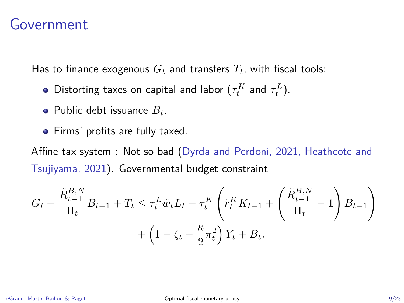### Government

Has to finance exogenous  $G_t$  and transfers  $T_t$ , with fiscal tools:

- Distorting taxes on capital and labor  $(\tau_t^K$  and  $\tau_t^L$ ).
- Public debt issuance *Bt*.
- Firms' profits are fully taxed.

Affine tax system : Not so bad (Dyrda and Perdoni, 2021, Heathcote and Tsujiyama, 2021). Governmental budget constraint

$$
G_t + \frac{\tilde{R}_{t-1}^{B,N}}{\Pi_t} B_{t-1} + T_t \leq \tau_t^L \tilde{w}_t L_t + \tau_t^K \left( \tilde{r}_t^K K_{t-1} + \left( \frac{\tilde{R}_{t-1}^{B,N}}{\Pi_t} - 1 \right) B_{t-1} \right) + \left( 1 - \zeta_t - \frac{\kappa}{2} \pi_t^2 \right) Y_t + B_t.
$$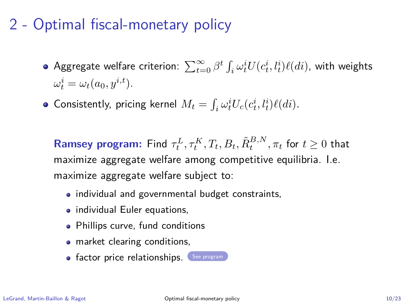# <span id="page-10-0"></span>2 - Optimal fiscal-monetary policy

- <span id="page-10-1"></span> $\Delta$ ggregate welfare criterion:  $\sum_{t=0}^{\infty} \beta^t \int_i \omega_t^i U(c_t^i,l_t^i) \ell(di),$  with weights  $\omega_t^i = \omega_t(a_0, y^{i,t}).$
- Consistently, pricing kernel  $M_t = \int_i \omega_t^i U_c(c_t^i, l_t^i) \ell(di)$ .

**Ramsey program:** Find  $\tau_t^L, \tau_t^K, T_t, B_t, \tilde{R}_t^{B,N}, \pi_t$  for  $t \geq 0$  that maximize aggregate welfare among competitive equilibria. I.e. maximize aggregate welfare subject to:

- individual and governmental budget constraints,
- individual Euler equations,
- Phillips curve, fund conditions
- market clearing conditions,
- **•** factor price relationships. ([See program](#page-24-0)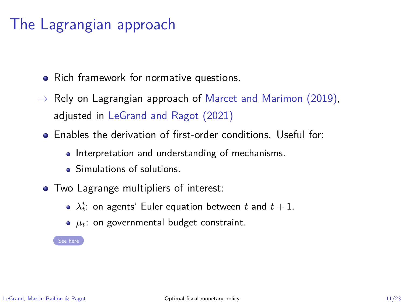# The Lagrangian approach

- <span id="page-11-0"></span>• Rich framework for normative questions.
- $\rightarrow$  Rely on Lagrangian approach of Marcet and Marimon (2019), adjusted in LeGrand and Ragot (2021)
	- Enables the derivation of first-order conditions. Useful for:
		- Interpretation and understanding of mechanisms.
		- **Simulations of solutions**
	- Two Lagrange multipliers of interest:
		- $\lambda_t^i$ : on agents' Euler equation between  $t$  and  $t+1$ .
		- $\bullet$   $\mu_t$ : on governmental budget constraint.

[See here](#page-25-0)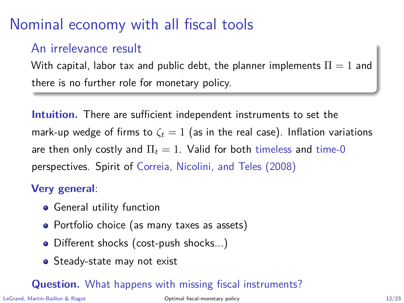# Nominal economy with all fiscal tools

### An irrelevance result

With capital, labor tax and public debt, the planner implements  $\Pi = 1$  and there is no further role for monetary policy.

**Intuition.** There are sufficient independent instruments to set the mark-up wedge of firms to  $\zeta_t = 1$  (as in the real case). Inflation variations are then only costly and  $\Pi_t = 1$ . Valid for both timeless and time-0 perspectives. Spirit of Correia, Nicolini, and Teles (2008)

### **Very general**:

- **•** General utility function
- Portfolio choice (as many taxes as assets)
- Different shocks (cost-push shocks...)
- Steady-state may not exist

### **Question.** What happens with missing fiscal instruments?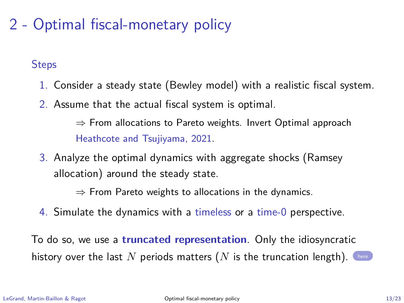# 2 - Optimal fiscal-monetary policy

**Steps** 

- 1. Consider a steady state (Bewley model) with a realistic fiscal system.
- 2. Assume that the actual fiscal system is optimal.

⇒ From allocations to Pareto weights. Invert Optimal approach Heathcote and Tsujiyama, 2021.

3. Analyze the optimal dynamics with aggregate shocks (Ramsey allocation) around the steady state.

 $\Rightarrow$  From Pareto weights to allocations in the dynamics.

4. Simulate the dynamics with a timeless or a time-0 perspective.

To do so, we use a **truncated representation**. Only the idiosyncratic history over the last  $N$  periods matters  $(N$  is the truncation length). T[here](#page-33-0)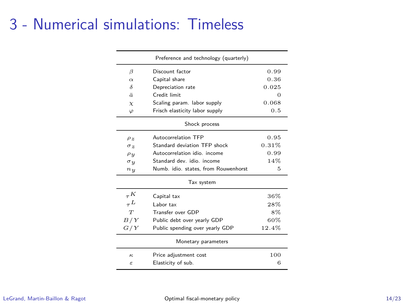# <span id="page-14-0"></span>3 - Numerical simulations: Timeless

| Preference and technology (quarterly) |                                      |          |  |  |
|---------------------------------------|--------------------------------------|----------|--|--|
| B                                     | Discount factor                      | 0.99     |  |  |
| $\alpha$                              | Capital share                        | 0.36     |  |  |
| δ                                     | Depreciation rate                    | 0.025    |  |  |
| ā.                                    | Credit limit                         | $\Omega$ |  |  |
| $\chi$                                | Scaling param. labor supply          | 0.068    |  |  |
| φ                                     | Frisch elasticity labor supply       | 0.5      |  |  |
| Shock process                         |                                      |          |  |  |
| $\rho_z$                              | Autocorrelation TFP                  | 0.95     |  |  |
| $\sigma$ $\alpha$                     | Standard deviation TFP shock         | 0.31%    |  |  |
| $\rho_{y}$                            | Autocorrelation idio. income         | 0.99     |  |  |
| $\sigma_{y}$                          | Standard dev. idio. income           | 14%      |  |  |
| n <sub>y</sub>                        | Numb. idio. states. from Rouwenhorst | 5        |  |  |
| Tax system                            |                                      |          |  |  |
| ${}_{\tau}K$                          | Capital tax                          | 36%      |  |  |
| $\tau^L$                              | Labor tax                            | 28%      |  |  |
| T                                     | Transfer over GDP                    | 8%       |  |  |
| B/Y                                   | Public debt over yearly GDP          | 60%      |  |  |
| G/Y                                   | Public spending over yearly GDP      | 12.4%    |  |  |
| Monetary parameters                   |                                      |          |  |  |
| к.                                    | Price adjustment cost                | 100      |  |  |
| ε                                     | Elasticity of sub.                   | 6        |  |  |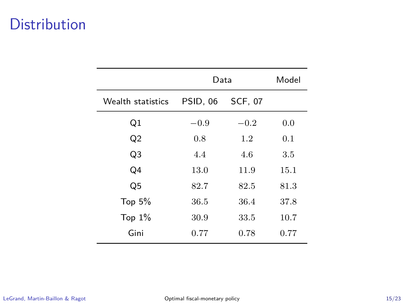# **Distribution**

|                   | Data     |                | Model |
|-------------------|----------|----------------|-------|
| Wealth statistics | PSID, 06 | <b>SCF, 07</b> |       |
| Q1                | $-0.9$   | $-0.2$         | 0.0   |
| Q <sub>2</sub>    | 0.8      | $1.2\,$        | 0.1   |
| Q <sub>3</sub>    | 4.4      | 4.6            | 3.5   |
| Q4                | 13.0     | 11.9           | 15.1  |
| Q <sub>5</sub>    | 82.7     | 82.5           | 81.3  |
| Top $5%$          | 36.5     | 36.4           | 37.8  |
| Top $1\%$         | 30.9     | 33.5           | 10.7  |
| Gini              | 0.77     | 0.78           | 0.77  |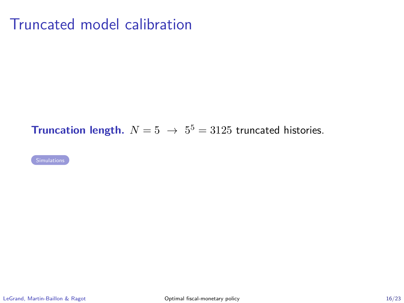# Truncated model calibration

### <span id="page-16-0"></span>**Truncation length.**  $N = 5 \rightarrow 5^5 = 3125$  truncated histories.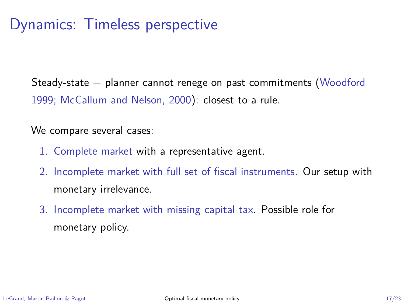Steady-state  $+$  planner cannot renege on past commitments (Woodford 1999; McCallum and Nelson, 2000): closest to a rule.

We compare several cases:

- 1. Complete market with a representative agent.
- 2. Incomplete market with full set of fiscal instruments. Our setup with monetary irrelevance.
- 3. Incomplete market with missing capital tax. Possible role for monetary policy.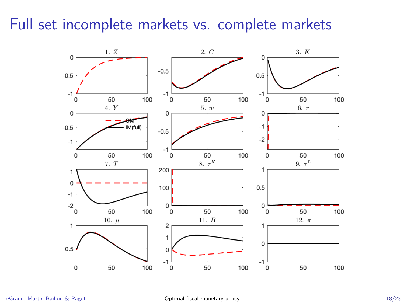## Full set incomplete markets vs. complete markets

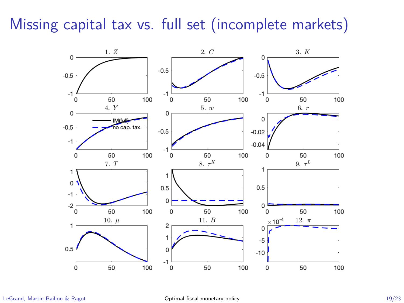# Missing capital tax vs. full set (incomplete markets)

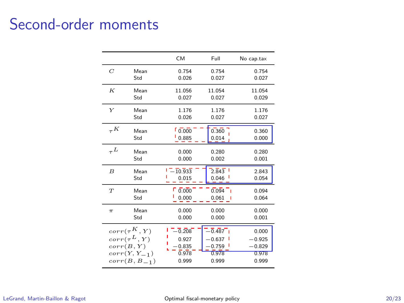# Second-order moments

|              |                            | CM                            | Full                  | No cap.tax     |
|--------------|----------------------------|-------------------------------|-----------------------|----------------|
| C            | Mean                       | 0.754                         | 0.754                 | 0.754          |
|              | Std                        | 0.026                         | 0.027                 | 0.027          |
| К            | Mean                       | 11.056                        | 11.054                | 11.054         |
|              | Std                        | 0.027                         | 0.027                 | 0.029          |
| Y            | Mean                       | 1.176                         | 1.176                 | 1.176          |
|              | Std                        | 0.026                         | 0.027                 | 0.027          |
| ${}_{\tau}K$ | Mean                       | 0.000                         | 0.360                 | 0.360          |
|              | Std                        | 0.885                         | 0.014                 | 0.000          |
| $L_{\tau}$   | Mean                       | 0.000                         | 0.280                 | 0.280          |
|              | Std                        | 0.000                         | 0.002                 | 0.001          |
| B            | Mean                       | $1 - 10.933$                  | $2.\overline{8}43$    | 2.843          |
|              | Std                        | 0.015                         | 0.046                 | 0.054          |
| T            | Mean<br>Std                | $F \overline{0.000}$<br>0.000 | 0.094<br>- 1<br>0.061 | 0.094<br>0.064 |
| $\pi$        | Mean                       | 0.000                         | 0.000                 | 0.000          |
|              | Std                        | 0.000                         | 0.000                 | 0.001          |
|              | $corr(\tau^K, Y)$          | $-0.208$                      | $-0.487$              | 0.000          |
|              | $\textit{corr}(\tau^L, Y)$ | 0.927                         | $-0.637$              | $-0.925$       |
|              | corr(B, Y)                 | $-0.835$                      | - 0.759               | $-0.829$       |
|              | $corr(Y, Y_{-1})$          | 0.978                         | 0.978                 | 0.978          |
|              | $corr(B, B_{-1})$          | 0.999                         | 0.999                 | 0.999          |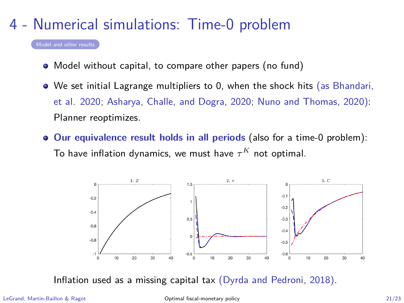# <span id="page-21-0"></span>4 - Numerical simulations: Time-0 problem

- Model without capital, to compare other papers (no fund)
- We set initial Lagrange multipliers to 0, when the shock hits (as Bhandari, et al. 2020; Asharya, Challe, and Dogra, 2020; Nuno and Thomas, 2020): Planner reoptimizes.
- **Our equivalence result holds in all periods** (also for a time-0 problem): To have inflation dynamics, we must have  $\tau^K$  not optimal.



Inflation used as a missing capital tax (Dyrda and Pedroni, 2018).

<span id="page-21-1"></span>[Model and other results](#page-31-0)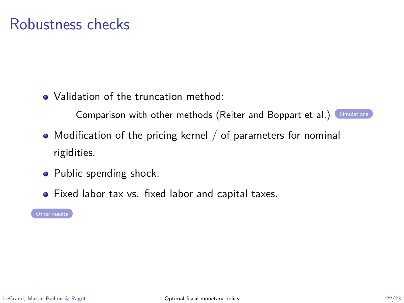## Robustness checks

<span id="page-22-0"></span>• Validation of the truncation method:

Comparison with other methods (Reiter and Boppart et al.) [Simulations](#page-30-0)

- Modification of the pricing kernel / of parameters for nominal rigidities.
- Public spending shock.
- Fixed labor tax vs. fixed labor and capital taxes.

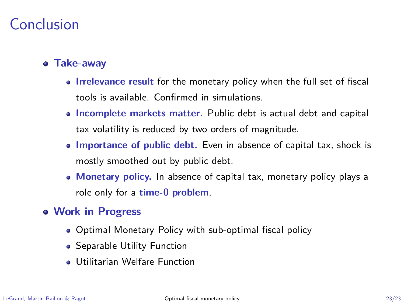# Conclusion

### **Take-away**

- **Irrelevance result** for the monetary policy when the full set of fiscal tools is available. Confirmed in simulations.
- **Incomplete markets matter.** Public debt is actual debt and capital tax volatility is reduced by two orders of magnitude.
- **Importance of public debt.** Even in absence of capital tax, shock is mostly smoothed out by public debt.
- **Monetary policy.** In absence of capital tax, monetary policy plays a role only for a **time-0 problem**.
- **Work in Progress**
	- Optimal Monetary Policy with sub-optimal fiscal policy
	- Separable Utility Function
	- Utilitarian Welfare Function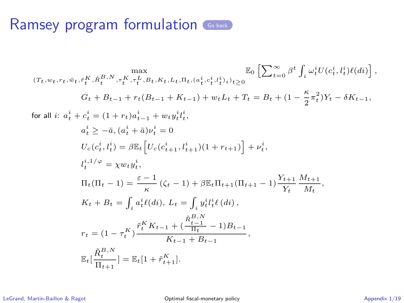<span id="page-24-0"></span>
$$
(T_t, w_t, r_t, \tilde{w}_t, \tilde{r}_t^K, \tilde{R}_t^{B,N}, \tau_t^K, \tau_t^L, B_t, K_t, L_t, \Pi_t, (a_t^i, c_t^i, l_t^i) \iota_{\geq 0} \longrightarrow \mathbb{E}_0 \left[ \sum_{t=0}^{\infty} \beta^t \int_i \omega_t^i U(c_t^i, l_t^i) \ell(di) \right],
$$
\n
$$
G_t + B_{t-1} + r_t(B_{t-1} + K_{t-1}) + w_t L_t + T_t = B_t + (1 - \frac{\kappa}{2} \pi_t^2) Y_t - \delta K_{t-1},
$$
\n
$$
\text{for all } i: a_t^i + c_t^i = (1 + r_t) a_{t-1}^i + w_t y_t^i l_t^i,
$$
\n
$$
a_t^i \geq -\bar{a}, (a_t^i + \bar{a}) \nu_t^i = 0
$$
\n
$$
U_c(c_t^i, l_t^i) = \beta \mathbb{E}_t \left[ U_c(c_{t+1}^i, l_{t+1}^i)(1 + r_{t+1}) \right] + \nu_t^i,
$$
\n
$$
l_t^{i,1/\varphi} = \chi w_t y_t^i,
$$
\n
$$
\Pi_t (\Pi_t - 1) = \frac{\varepsilon - 1}{\kappa} (\zeta_t - 1) + \beta \mathbb{E}_t \Pi_{t+1} (\Pi_{t+1} - 1) \frac{Y_{t+1}}{Y_t} \frac{M_{t+1}}{M_t},
$$
\n
$$
K_t + B_t = \int_i a_t^i \ell(di), L_t = \int_i y_t^i l_t^i \ell(di),
$$
\n
$$
r_t = (1 - \tau_t^K) \frac{\tilde{r}_t^K K_{t-1} + (\frac{\tilde{R}_{t-1}^B}{\Pi_t} - 1) B_{t-1}}{K_{t-1} + B_{t-1}},
$$
\n
$$
\mathbb{E}_t \left[ \frac{\tilde{R}_t^{B,N}}{\Pi_{t+1}} \right] = \mathbb{E}_t [1 + \tilde{r}_{t+1}^K].
$$

LeGrand, Martin-Baillon & Ragot [Optimal fiscal-monetary policy](#page-0-0) Appendix 1/19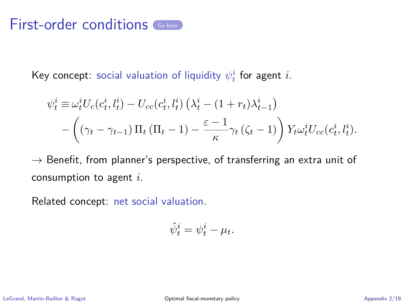<span id="page-25-0"></span>Key concept: social valuation of liquidity  $\psi^i_t$  for agent  $i.$ 

$$
\psi_t^i \equiv \omega_t^i U_c(c_t^i, l_t^i) - U_{cc}(c_t^i, l_t^i) \left(\lambda_t^i - (1 + r_t)\lambda_{t-1}^i\right)
$$

$$
- \left(\left(\gamma_t - \gamma_{t-1}\right) \Pi_t \left(\Pi_t - 1\right) - \frac{\varepsilon - 1}{\kappa} \gamma_t \left(\zeta_t - 1\right)\right) Y_t \omega_t^i U_{cc}(c_t^i, l_t^i).
$$

 $\rightarrow$  Benefit, from planner's perspective, of transferring an extra unit of consumption to agent *i*.

Related concept: net social valuation.

$$
\hat{\psi}_t^i = \psi_t^i - \mu_t.
$$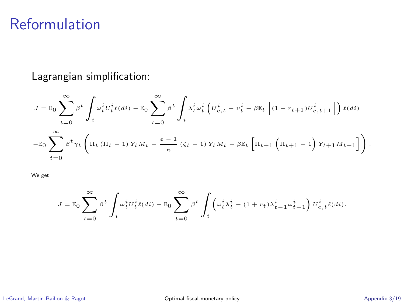# Reformulation

Lagrangian simplification:

$$
J = \mathbb{E}_0 \sum_{t=0}^{\infty} \beta^t \int_i \omega_t^i U_t^i \ell(dt) - \mathbb{E}_0 \sum_{t=0}^{\infty} \beta^t \int_i \lambda_t^i \omega_t^i \left( U_{c,t}^i - \nu_t^i - \beta \mathbb{E}_t \left[ (1 + r_{t+1}) U_{c,t+1}^i \right] \right) \ell(dt)
$$

$$
- \mathbb{E}_0 \sum_{t=0}^{\infty} \beta^t \gamma_t \left( \Pi_t (\Pi_t - 1) Y_t M_t - \frac{\varepsilon - 1}{\kappa} (\zeta_t - 1) Y_t M_t - \beta \mathbb{E}_t \left[ \Pi_{t+1} \left( \Pi_{t+1} - 1 \right) Y_{t+1} M_{t+1} \right] \right).
$$

We get

$$
J=\mathbb{E}_0\sum_{t=0}^{\infty}\beta^t\int_i\omega_t^iU_t^i\ell(\boldsymbol{d} i)-\mathbb{E}_0\sum_{t=0}^{\infty}\beta^t\int_i\left(\omega_t^i\lambda_t^i-(1+r_t)\lambda_{t-1}^i\omega_{t-1}^i\right)U_{c,t}^i\ell(\boldsymbol{d} i).
$$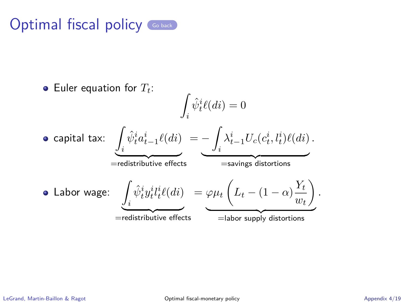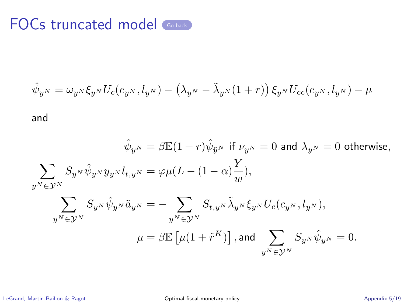<span id="page-28-0"></span>
$$
\hat{\psi}_{y^N} = \omega_{y^N} \xi_{y^N} U_c(c_{y^N}, l_{y^N}) - (\lambda_{y^N} - \tilde{\lambda}_{y^N} (1+r)) \xi_{y^N} U_{cc}(c_{y^N}, l_{y^N}) - \mu
$$

and

$$
\hat{\psi}_{y^N} = \beta \mathbb{E} (1+r) \hat{\psi}_{\bar{y}^N} \text{ if } \nu_{y^N} = 0 \text{ and } \lambda_{y^N} = 0 \text{ otherwise,}
$$
\n
$$
\sum_{y^N \in \mathcal{Y}^N} S_{y^N} \hat{\psi}_{y^N} y_{y^N} l_{t,y^N} = \varphi \mu (L - (1-\alpha) \frac{Y}{w}),
$$
\n
$$
\sum_{y^N \in \mathcal{Y}^N} S_{y^N} \hat{\psi}_{y^N} \tilde{a}_{y^N} = - \sum_{y^N \in \mathcal{Y}^N} S_{t,y^N} \tilde{\lambda}_{y^N} \xi_{y^N} U_c(c_{y^N}, l_{y^N}),
$$
\n
$$
\mu = \beta \mathbb{E} \left[ \mu (1 + \tilde{r}^K) \right], \text{and } \sum_{y^N \in \mathcal{Y}^N} S_{y^N} \hat{\psi}_{y^N} = 0.
$$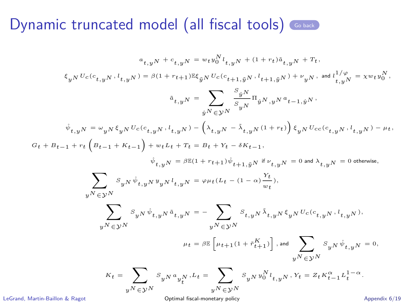<span id="page-29-0"></span>
$$
\begin{aligned} \varepsilon_{yN} \, U_{c}(c_{t,yN}, \, l_{t,yN}) & = w_{t} \, y_{0}^{N} \, l_{t,yN} \, + \, (1+r_{t}) \, \hat{a}_{t,yN} \, + \, Tt, \\ \xi_{yN} \, U_{c}(c_{t,yN}, \, l_{t,yN}) & = \beta (1+r_{t+1}) \mathbb{E} \xi_{\tilde{y}^{N}} \, U_{c}(c_{t+1,\tilde{y}^{N}}, \, l_{t+1,\tilde{y}^{N}}) + \nu_{yN}, \text{ and } l_{t,yN}^{1/\varphi} \, = \, \chi w_{t} \, y_{0}^{N}, \\ \tilde{a}_{t,yN} & = \sum_{\tilde{y}^{N} \in \mathcal{Y}^{N}} \frac{S_{\tilde{y}^{N}}}{S_{yN}} \Pi_{\tilde{y}^{N}, \, yN} \, u_{t-1,\tilde{y}^{N}}, \\ \hat{\psi}_{t,yN} & = \omega_{yN} \, \xi_{yN} \, U_{c}(c_{t,yN}, \, l_{t,yN}) - \left(\lambda_{t,yN} - \tilde{\lambda}_{t,yN} \, (1+r_{t})\right) \, \xi_{yN} \, U_{c c}(c_{t,yN}, \, l_{t,yN}) - \mu_{t}, \\ \varphi_{t,yN} & = \beta \mathbb{E} (1+r_{t+1}) \, \psi_{t+1,\tilde{y}^{N}} \, \text{if} \, \nu_{t,yN} = 0 \text{ and } \lambda_{t,yN} = 0 \text{ otherwise}, \\ \sum_{y^{N} \in \mathcal{Y}^{N}} S_{yN} \, \hat{\psi}_{t,yN} \, y_{yN} \, l_{t,yN} & = \varphi \mu_{t} (L_{t} - (1-\alpha) \frac{\gamma_{t}}{w_{t}}), \\ \sum_{y^{N} \in \mathcal{Y}^{N}} S_{yN} \, \hat{\psi}_{t,yN} \, \tilde{a}_{t,yN} & = - \sum_{y^{N} \in \mathcal{Y}^{N}} S_{t,yN} \, \tilde{\lambda}_{t,yN} \, \xi_{yN} \, U_{c}(c_{t,yN}, \, l_{t,yN}), \\ \mu_{t} = \beta \mathbb{E} \left[ \mu_{t+1} (1+r_{t+1}^{K}) \right], \\ \text{and} \sum_{y^{N} \
$$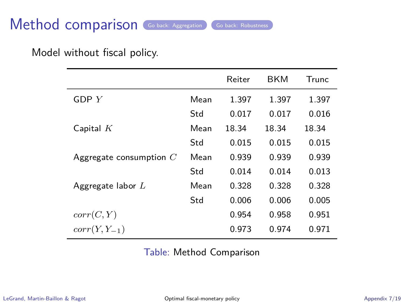# Method comparison [Go back: Aggregation](#page-16-0) [Go back: Robustness](#page-22-0)

<span id="page-30-0"></span>Model without fiscal policy.

|      | Reiter | <b>BKM</b> | Trunc |
|------|--------|------------|-------|
| Mean | 1.397  | 1.397      | 1.397 |
| Std  | 0.017  | 0.017      | 0.016 |
| Mean | 18.34  | 18.34      | 18.34 |
| Std  | 0.015  | 0.015      | 0.015 |
| Mean | 0.939  | 0.939      | 0.939 |
| Std  | 0.014  | 0.014      | 0.013 |
| Mean | 0.328  | 0.328      | 0.328 |
| Std  | 0.006  | 0.006      | 0.005 |
|      | 0.954  | 0.958      | 0.951 |
|      | 0.973  | 0.974      | 0.971 |
|      |        |            |       |

Table: Method Comparison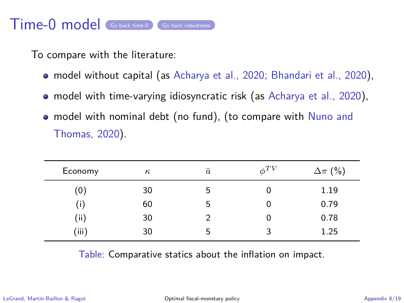# Time-0 model [Go back time-0](#page-21-1) [Go back robustness](#page-22-0)

<span id="page-31-0"></span>To compare with the literature:

- model without capital (as Acharya et al., 2020; Bhandari et al., 2020),
- model with time-varying idiosyncratic risk (as Acharya et al., 2020),
- model with nominal debt (no fund), (to compare with Nuno and Thomas, 2020).

| Economy | $\kappa$ | $\bar{a}$ | $\phi^{TV}$ | $\Delta \pi$ (%) |
|---------|----------|-----------|-------------|------------------|
| (0)     | 30       | 5         | 0           | 1.19             |
| (i)     | 60       | 5         | 0           | 0.79             |
| (i)     | 30       |           | 0           | 0.78             |
| (iii)   | 30       | 5         | 3           | 1.25             |

Table: Comparative statics about the inflation on impact.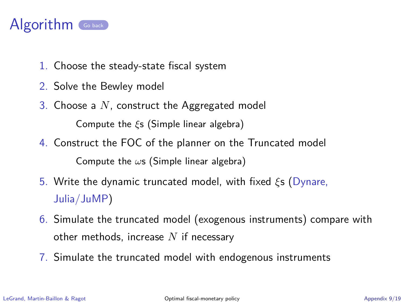

- <span id="page-32-0"></span>1. Choose the steady-state fiscal system
- 2. Solve the Bewley model
- 3. Choose a *N*, construct the Aggregated model Compute the *ξ*s (Simple linear algebra)
- 4. Construct the FOC of the planner on the Truncated model Compute the *ω*s (Simple linear algebra)
- 5. Write the dynamic truncated model, with fixed *ξ*s (Dynare, Julia/JuMP)
- 6. Simulate the truncated model (exogenous instruments) compare with other methods, increase *N* if necessary
- 7. Simulate the truncated model with endogenous instruments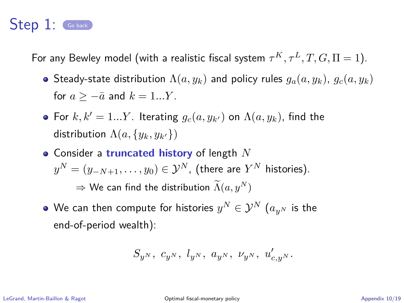<span id="page-33-0"></span>For any Bewley model (with a realistic fiscal system  $\tau^K, \tau^L, T, G, \Pi = 1).$ 

- Steady-state distribution  $\Lambda(a, y_k)$  and policy rules  $g_a(a, y_k)$ ,  $g_c(a, y_k)$ for  $a > -\overline{a}$  and  $k = 1...Y$ .
- For  $k, k' = 1...Y$ . Iterating  $g_c(a, y_{k'})$  on  $\Lambda(a, y_k)$ , find the distribution  $\Lambda(a, \{y_k, y_{k'}\})$
- Consider a **truncated history** of length *N*  $y^N = (y_{-N+1}, \ldots, y_0) \in \mathcal{Y}^N$  , (there are  $Y^N$  histories).  $\Rightarrow$  We can find the distribution  $\widetilde{\Lambda}(a, y^N)$
- We can then compute for histories  $y^N\in\mathcal{Y}^N$   $(a_{y^N}$  is the end-of-period wealth):

$$
S_{y^N},\ c_{y^N},\ l_{y^N},\ a_{y^N},\ \nu_{y^N},\ u'_{c,y^N}.
$$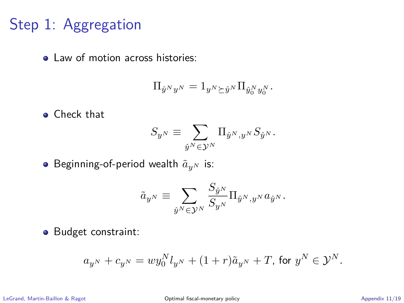# Step 1: Aggregation

• Law of motion across histories:

$$
\Pi_{\hat{y}^N y^N} = 1_{y^N \succeq \hat{y}^N} \Pi_{\hat{y}_0^N y_0^N}.
$$

**o** Check that

$$
S_{y^N}\equiv \sum_{\hat y^N\in\mathcal Y^N}\Pi_{\hat y^N,y^N}S_{\hat y^N}.
$$

**•** Beginning-of-period wealth  $\tilde{a}_{n^N}$  is:

$$
\tilde{a}_{y^N}\equiv \sum_{\hat{y}^N\in\mathcal{Y}^N}\frac{S_{\hat{y}^N}}{S_{y^N}}\Pi_{\hat{y}^N,y^N}a_{\hat{y}^N}.
$$

**•** Budget constraint:

$$
a_{y^N}+c_{y^N}=wy_0^Nl_{y^N}+(1+r)\tilde{a}_{y^N}+T\text{, for }y^N\in\mathcal{Y}^N.
$$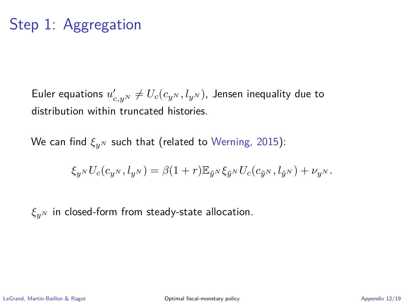# Step 1: Aggregation

Euler equations  $u'_{c,y^N}\neq U_c(c_{y^N},l_{y^N})$ , Jensen inequality due to distribution within truncated histories.

We can find *ξy<sup>N</sup>* such that (related to Werning, 2015):

$$
\xi_{y^N} U_c(c_{y^N}, l_{y^N}) = \beta(1+r) \mathbb{E}_{\tilde{y}^N} \xi_{\tilde{y}^N} U_c(c_{\tilde{y}^N}, l_{\tilde{y}^N}) + \nu_{y^N}.
$$

*ξy<sup>N</sup>* in closed-form from steady-state allocation.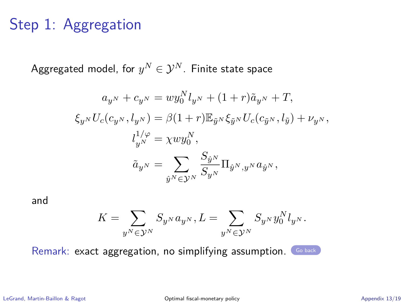# Step 1: Aggregation

 $\mathsf{Aggregated}$  model, for  $y^N\in\mathcal{Y}^N.$  Finite state space

$$
\begin{aligned} a_{y^N} + c_{y^N} &= w y_0^N l_{y^N} + (1+r) \tilde{a}_{y^N} + T, \\ \xi_{y^N} U_c(c_{y^N}, l_{y^N}) &= \beta (1+r) \mathbb{E}_{\tilde{y}^N} \xi_{\tilde{y}^N} U_c(c_{\tilde{y}^N}, l_{\tilde{y}}) + \nu_{y^N}, \\ l_{y^N}^{1/\varphi} &= \chi w y_0^N, \\ \tilde{a}_{y^N} &= \sum_{\hat{y}^N \in \mathcal{Y}^N} \frac{S_{\hat{y}^N}}{S_{y^N}} \Pi_{\hat{y}^N, y^N} a_{\hat{y}^N}, \end{aligned}
$$

and

$$
K=\sum_{y^N\in\mathcal{Y}^N}S_{y^N}a_{y^N}, L=\sum_{y^N\in\mathcal{Y}^N}S_{y^N}y_0^Nl_{y^N}.
$$

Remark: exact aggregation, no simplifying assumption. [Go back](#page-0-1)

LeGrand, Martin-Baillon & Ragot [Optimal fiscal-monetary policy](#page-0-0) Appendix 13/19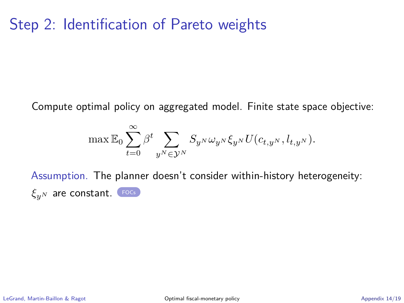# Step 2: Identification of Pareto weights

<span id="page-37-0"></span>Compute optimal policy on aggregated model. Finite state space objective:

$$
\max \mathbb{E}_0 \sum_{t=0}^\infty \beta^t \sum_{y^N \in \mathcal{Y}^N} S_{y^N} \omega_{y^N} \xi_{y^N} U(c_{t,y^N}, l_{t,y^N}).
$$

Assumption. The planner doesn't consider within-history heterogeneity: *ξy<sup>N</sup>* are constant. [FOCs](#page-28-0)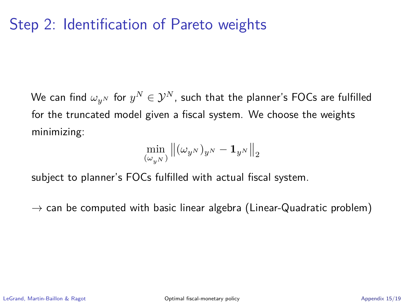# Step 2: Identification of Pareto weights

We can find  $\omega_{y^N}$  for  $y^N\in\mathcal{Y}^N$ , such that the planner's FOCs are fulfilled for the truncated model given a fiscal system. We choose the weights minimizing:

$$
\min_{(\omega_{y^N})} \left\| (\omega_{y^N})_{y^N} - \mathbf{1}_{y^N} \right\|_2
$$

subject to planner's FOCs fulfilled with actual fiscal system.

 $\rightarrow$  can be computed with basic linear algebra (Linear-Quadratic problem)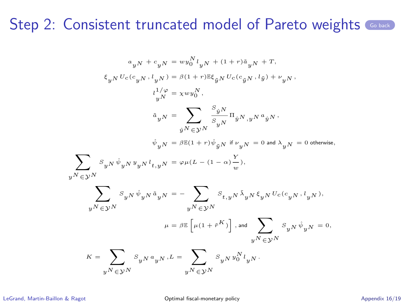$$
\begin{aligned} a_{y}N+c_{y}N&=w y_{0}^{N} l_{y}N+(1+r)\tilde{a}_{y}N+r,\\ \xi_{y}NU_{c}(c_{y}N, l_{y}N)&=\beta(1+r)\mathbb{E}\xi_{\tilde{y}N}U_{c}(c_{\tilde{y}N}, l_{\tilde{y}})+\nu_{y}N,\\ l_{y}^{1/\varphi}&= \chi w y_{0}^{N},\\ \tilde{a}_{y}N&=\sum_{\tilde{y}^{N}\in\mathcal{Y}^{N}}\frac{\tilde{s}_{\tilde{y}N}}{S_{y}N}\Pi_{\tilde{y}^{N},y}N^{a}{}_{\tilde{y}^{N}},\\ \hat{\psi}_{y}N&=\beta\mathbb{E}(1+r)\hat{\psi}_{\tilde{y}N}\text{ if }\nu_{y}N=0\text{ and }\lambda_{y}N=0\text{ otherwise},\\ \sum_{y^{N}\in\mathcal{Y}^{N}}S_{y}N^{i}\hat{\psi}_{y}N^{y}{}_{y}N^{l}{}_{t,y}N=\varphi\mu(L-(1-\alpha)\frac{\nu}{w}),\\ \sum_{y^{N}\in\mathcal{Y}^{N}}S_{y}N^{i}\hat{\psi}_{y}N^{i}\tilde{a}_{y}N&=-\sum_{y^{N}\in\mathcal{Y}^{N}}S_{t,y}N^{i}\hat{\lambda}_{y}N\xi_{y}NU_{c}(c_{y}N, l_{y}N),\\ \mu&=\beta\mathbb{E}\left[\mu(1+\tilde{r}^{K})\right], \text{and}\sum_{y^{N}\in\mathcal{Y}^{N}}S_{y}N^{i}\hat{\psi}_{y}N=0,\\ K&=\sum_{y^{N}\in\mathcal{Y}^{N}}S_{y}N^{a}{}_{y}N,L&=\sum_{y^{N}\in\mathcal{Y}^{N}}S_{y}Ny_{0}^{N}l_{y}N\,. \end{aligned}
$$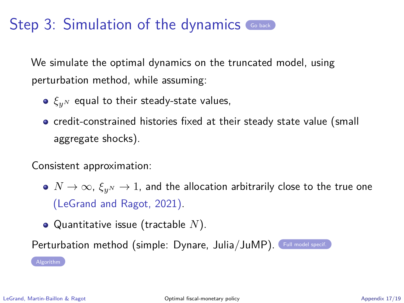We simulate the optimal dynamics on the truncated model, using perturbation method, while assuming:

- *ξy<sup>N</sup>* equal to their steady-state values,
- credit-constrained histories fixed at their steady state value (small aggregate shocks).

Consistent approximation:

- $\bullet$   $N \to \infty$ ,  $\xi_{n^N} \to 1$ , and the allocation arbitrarily close to the true one (LeGrand and Ragot, 2021).
- Quantitative issue (tractable *N*).

Perturbation method (simple: Dynare, Julia/JuMP). [Full model specif.](#page-29-0)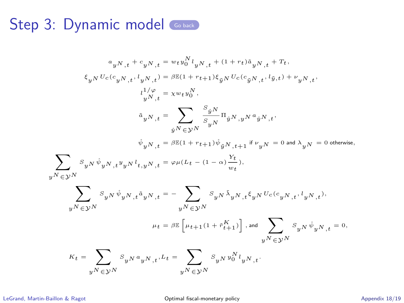# Step 3: Dynamic model Coback

$$
\begin{aligned} &a_yN_{,t}+c_yN_{,t}=wty_0^N t_yN_{,t}+(1+r_t)\tilde{a}_yN_{,t}+T_t,\\ &\xi_yN U_c(c_{yN_{,t}},t_{yN_{,t}})=\beta\mathbb{E}(1+r_{t+1})\xi_{\tilde{y}N}U_c(c_{\tilde{y}N_{,t}},t_{\tilde{y},t})+\nu_yN_{,t},\\ &\qquad \qquad \begin{array}{c} l_y/\varphi\\ l_yN_{,t}=\chi wty_0^N,\\ &\tilde{a}_yN_{,t}=\sum_{\hat{y}^N\in\mathcal{Y}^N} \frac{s_{\hat{y}^N}}{s_{y^N}}\Pi_{\hat{y}^N,y^N}a_{\hat{y}^N,t},\\ &\hat{\psi}_{y^N_{,t}}=\beta\mathbb{E}(1+r_{t+1})\hat{\psi}_{\tilde{y}^N,t+1}\text{ if }\nu_yN=0\text{ and }\lambda_{y^N}=0\text{ otherwise},\\ \end{array}\\ &\sum_{y^N\in\mathcal{Y}^N} s_{y^N}\hat{\psi}_yN_{,t}v_{y^N,t}=\varphi\mu(L_t-(1-\alpha)\frac{\Upsilon_t}{w_t}),\\ &\qquad \qquad \sum_{y^N\in\mathcal{Y}^N} s_{y^N}\hat{\psi}_yN_{,t}\hat{a}_yN_{,t}=-\sum_{y^N\in\mathcal{Y}^N} s_{y^N}\hat{\lambda}_yN_{,t}\xi_{y^N}U_c(c_{y^N_{,t}},t_{y^N_{,t}}),\\ &\qquad \qquad \mu_t=\beta\mathbb{E}\left[\mu_{t+1}(1+\hat{r}_{t+1}^K)\right], \text{and}\; \sum_{y^N\in\mathcal{Y}^N} s_{y^N}\hat{\psi}_yN_{,t}=0,\\ &\qquad \qquad \begin{array}{c} \kappa_t=\sum_{y^N\in\mathcal{Y}^N} s_{y^N}a_{y^N_{,t}}, t.t \end{array}=\sum_{y^N\in\mathcal{Y}^N} s_{y^N}y_0^N t_{y^N_{,t}}. \end{aligned}
$$

LeGrand, Martin-Baillon & Ragot [Optimal fiscal-monetary policy](#page-0-0) Appendix 18/19